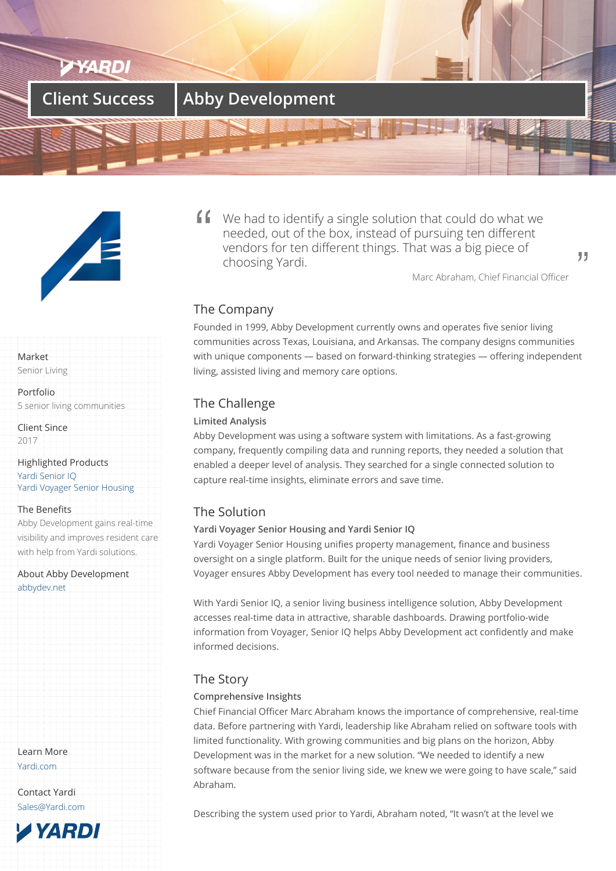



#### Market

Senior Living

Portfolio 5 senior living communities

Client Since 2017

Highlighted Products Yardi Senior IQ Yardi Voyager Senior Housing

#### The Benefits

[Abby Developm](/products/senior-iq/)ent gains real-time [visibility and improves residen](/products/voyager-senior-housing/)t care with help from Yardi solutions.

About Abby Development abbydev.net

Learn More Yardi.com

Contact Yardi Sales@Yardi.com



We had to identify a single solution that could do what we needed, out of the box, instead of pursuing ten different vendors for ten different things. That was a big piece of choosing Yardi.

Marc Abraham, Chief Financial Officer

99

## The Company

Founded in 1999, Abby Development currently owns and operates five senior living communities across Texas, Louisiana, and Arkansas. The company designs communities with unique components — based on forward-thinking strategies — offering independent living, assisted living and memory care options.

## The Challenge

## **Limited Analysis**

Abby Development was using a software system with limitations. As a fast-growing company, frequently compiling data and running reports, they needed a solution that enabled a deeper level of analysis. They searched for a single connected solution to capture real-time insights, eliminate errors and save time.

## The Solution

## **Yardi Voyager Senior Housing and Yardi Senior IQ**

Yardi Voyager Senior Housing unifies property management, finance and business oversight on a single platform. Built for the unique needs of senior living providers, Voyager ensures Abby Development has every tool needed to manage their communities.

With Yardi Senior IQ, a senior living business intelligence solution, Abby Development accesses real-time data in attractive, sharable dashboards. Drawing portfolio-wide information from Voyager, Senior IQ helps Abby Development act confidently and make informed decisions.

## The Story

#### **Comprehensive Insights**

Chief Financial Officer Marc Abraham knows the importance of comprehensive, real-time data. Before partnering with Yardi, leadership like Abraham relied on software tools with limited functionality. With growing communities and big plans on the horizon, Abby Development was in the market for a new solution. "We needed to identify a new software because from the senior living side, we knew we were going to have scale," said Abraham.

Describing the system used prior to Yardi, Abraham noted, "It wasn't at the level we